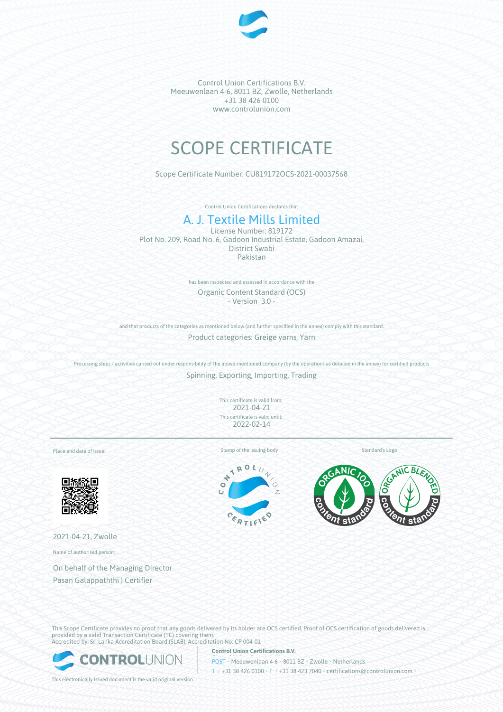

# SCOPE CERTIFICATE

Scope Certificate Number: CU819172OCS-2021-00037568

Control Union Certifications declares that

# A. J. Textile Mills Limited

License Number: 819172 Plot No. 209, Road No. 6, Gadoon Industrial Estate, Gadoon Amazai, District Swabi Pakistan

> has been inspected and assessed in accordance with the Organic Content Standard (OCS) - Version 3.0 -

and that products of the categories as mentioned below (and further specified in the annex) comply with this standard:

Product categories: Greige yarns, Yarn

Processing steps / activities carried out under responsibility of the above-mentioned company (by the operations as detailed in the annex) for certified products Spinning, Exporting, Importing, Trading

> This certificate is valid from: 2021-04-21 This certificate is valid until: 2022-02-14

Place and date of issue:



2021-04-21, Zwolle

Name of authorised person:

On behalf of the Managing Director Pasan Galappaththi | Certifier

Stamp of the issuing body Standard's Logo

TROL

 $\frac{c_{o}}{r}$ 



This Scope Certificate provides no proof that any goods delivered by its holder are OCS certified. Proof of OCS certification of goods delivered is provided by a valid Transaction Certificate (TC) covering them. Accredited by: Sri Lanka Accreditation Board (SLAB), Accreditation No: CP 004-01

**Control Union Certifications B.V.**



POST • Meeuwenlaan 4-6 • 8011 BZ • Zwolle • Netherlands T • +31 38 426 0100 • F • +31 38 423 7040 • certifications@controlunion.com •

This electronically issued document is the valid original version.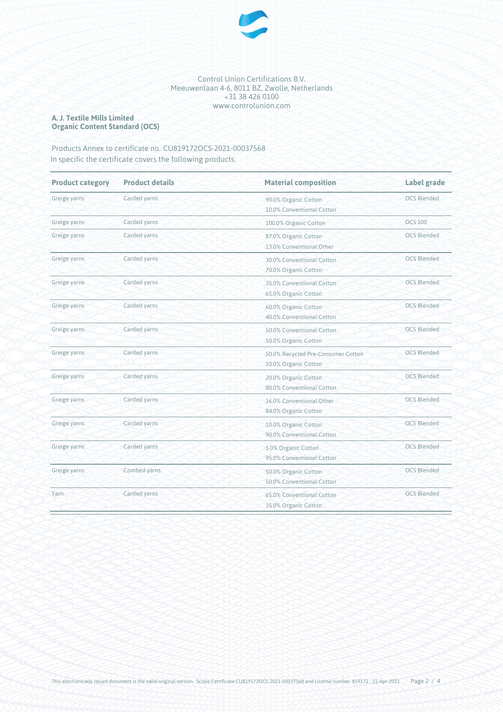

#### **A. J. Textile Mills Limited Organic Content Standard (OCS)**

### Products Annex to certificate no. CU819172OCS-2021-00037568 In specific the certificate covers the following products:

| <b>Product category</b> | <b>Product details</b> | <b>Material composition</b>                                | Label grade        |
|-------------------------|------------------------|------------------------------------------------------------|--------------------|
| Greige yarns            | Carded yarns           | 90.0% Organic Cotton<br>10.0% Conventional Cotton          | <b>OCS Blended</b> |
| Greige yarns            | Carded yarns           | 100.0% Organic Cotton                                      | <b>OCS 100</b>     |
| Greige yarns            | Carded yarns           | 87.0% Organic Cotton<br>13.0% Conventional Other           | <b>OCS Blended</b> |
| Greige yarns            | Carded yarns           | 30.0% Conventional Cotton<br>70.0% Organic Cotton          | <b>OCS Blended</b> |
| Greige yarns            | Carded yarns           | 35.0% Conventional Cotton<br>65.0% Organic Cotton          | <b>OCS Blended</b> |
| Greige yarns            | Carded yarns           | 60.0% Organic Cotton<br>40.0% Conventional Cotton          | <b>OCS Blended</b> |
| Greige yarns            | Carded yarns           | 50.0% Conventional Cotton<br>50.0% Organic Cotton          | <b>OCS Blended</b> |
| Greige yarns            | Carded yarns           | 50.0% Recycled Pre-Consumer Cotton<br>50.0% Organic Cotton | <b>OCS Blended</b> |
| Greige yarns            | Carded yarns           | 20.0% Organic Cotton<br>80.0% Conventional Cotton          | <b>OCS Blended</b> |
| Greige yarns            | Carded yarns           | 16.0% Conventional Other<br>84.0% Organic Cotton           | <b>OCS Blended</b> |
| Greige yarns            | Carded yarns           | 10.0% Organic Cotton<br>90.0% Conventional Cotton          | <b>OCS Blended</b> |
| Greige yarns            | Carded yarns           | 5.0% Organic Cotton<br>95.0% Conventional Cotton           | <b>OCS Blended</b> |
| Greige yarns            | Combed yarns           | 50.0% Organic Cotton<br>50.0% Conventional Cotton          | <b>OCS Blended</b> |
| Yarn                    | Carded yarns           | 65.0% Conventional Cotton<br>35.0% Organic Cotton          | <b>OCS Blended</b> |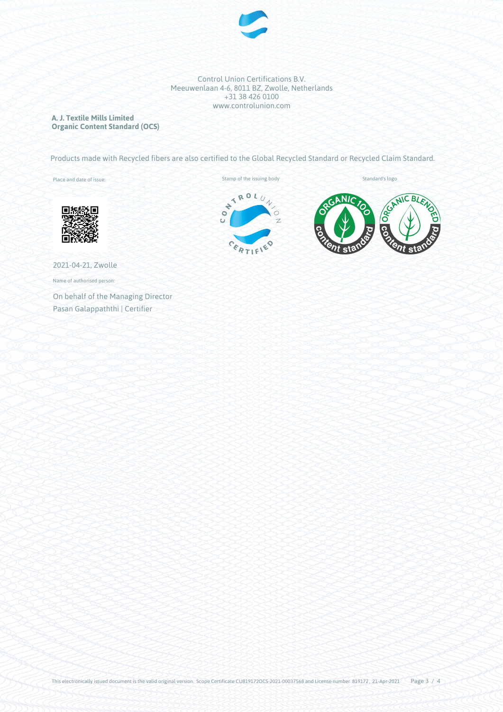

**A. J. Textile Mills Limited Organic Content Standard (OCS)**

Products made with Recycled fibers are also certified to the Global Recycled Standard or Recycled Claim Standard.

Place and date of issue:





2021-04-21, Zwolle

Name of authorised person:

On behalf of the Managing Director Pasan Galappaththi | Certifier